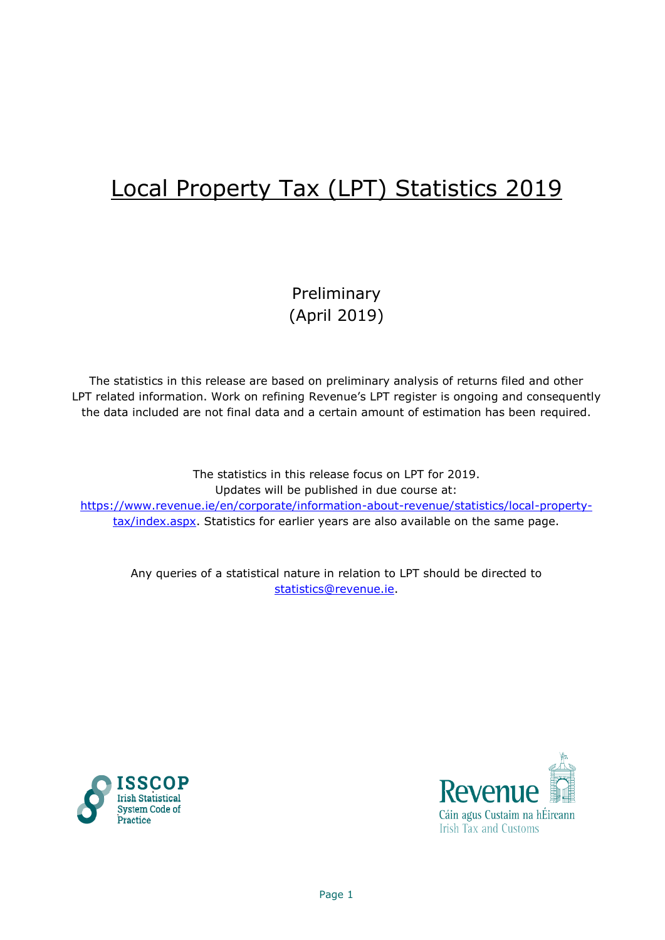# Local Property Tax (LPT) Statistics 2019

Preliminary (April 2019)

The statistics in this release are based on preliminary analysis of returns filed and other LPT related information. Work on refining Revenue's LPT register is ongoing and consequently the data included are not final data and a certain amount of estimation has been required.

The statistics in this release focus on LPT for 2019. Updates will be published in due course at: [https://www.revenue.ie/en/corporate/information-about-revenue/statistics/local-property](https://www.revenue.ie/en/corporate/information-about-revenue/statistics/local-property-tax/index.aspx)[tax/index.aspx.](https://www.revenue.ie/en/corporate/information-about-revenue/statistics/local-property-tax/index.aspx) Statistics for earlier years are also available on the same page.

Any queries of a statistical nature in relation to LPT should be directed to [statistics@revenue.ie.](mailto:statistics@revenue.ie)



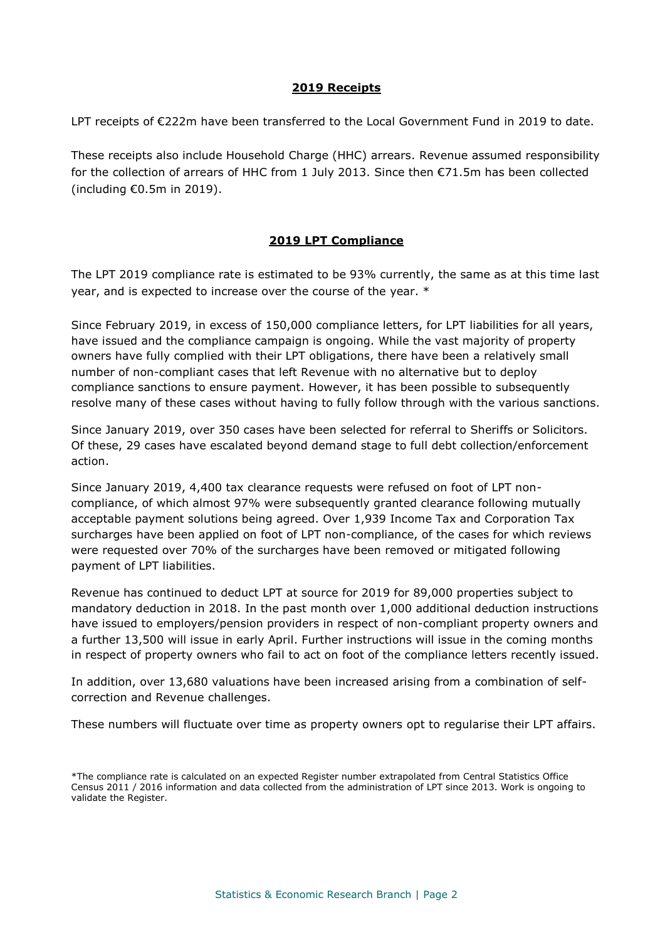# **2019 Receipts**

LPT receipts of €222m have been transferred to the Local Government Fund in 2019 to date.

These receipts also include Household Charge (HHC) arrears. Revenue assumed responsibility for the collection of arrears of HHC from 1 July 2013. Since then  $\epsilon$ 71.5m has been collected (including €0.5m in 2019).

# **2019 LPT Compliance**

The LPT 2019 compliance rate is estimated to be 93% currently, the same as at this time last year, and is expected to increase over the course of the year. \*

Since February 2019, in excess of 150,000 compliance letters, for LPT liabilities for all years, have issued and the compliance campaign is ongoing. While the vast majority of property owners have fully complied with their LPT obligations, there have been a relatively small number of non-compliant cases that left Revenue with no alternative but to deploy compliance sanctions to ensure payment. However, it has been possible to subsequently resolve many of these cases without having to fully follow through with the various sanctions.

Since January 2019, over 350 cases have been selected for referral to Sheriffs or Solicitors. Of these, 29 cases have escalated beyond demand stage to full debt collection/enforcement action.

Since January 2019, 4,400 tax clearance requests were refused on foot of LPT noncompliance, of which almost 97% were subsequently granted clearance following mutually acceptable payment solutions being agreed. Over 1,939 Income Tax and Corporation Tax surcharges have been applied on foot of LPT non-compliance, of the cases for which reviews were requested over 70% of the surcharges have been removed or mitigated following payment of LPT liabilities.

Revenue has continued to deduct LPT at source for 2019 for 89,000 properties subject to mandatory deduction in 2018. In the past month over 1,000 additional deduction instructions have issued to employers/pension providers in respect of non-compliant property owners and a further 13,500 will issue in early April. Further instructions will issue in the coming months in respect of property owners who fail to act on foot of the compliance letters recently issued.

In addition, over 13,680 valuations have been increased arising from a combination of selfcorrection and Revenue challenges.

These numbers will fluctuate over time as property owners opt to regularise their LPT affairs.

<sup>\*</sup>The compliance rate is calculated on an expected Register number extrapolated from Central Statistics Office Census 2011 / 2016 information and data collected from the administration of LPT since 2013. Work is ongoing to validate the Register.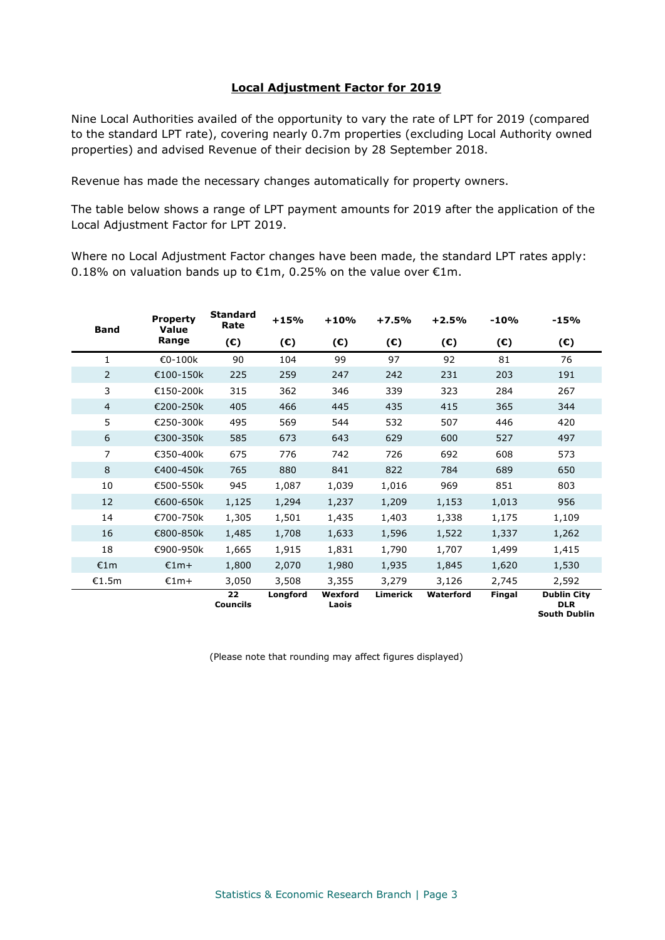## **Local Adjustment Factor for 2019**

Nine Local Authorities availed of the opportunity to vary the rate of LPT for 2019 (compared to the standard LPT rate), covering nearly 0.7m properties (excluding Local Authority owned properties) and advised Revenue of their decision by 28 September 2018.

Revenue has made the necessary changes automatically for property owners.

The table below shows a range of LPT payment amounts for 2019 after the application of the Local Adjustment Factor for LPT 2019.

Where no Local Adjustment Factor changes have been made, the standard LPT rates apply: 0.18% on valuation bands up to  $\epsilon$ 1m, 0.25% on the value over  $\epsilon$ 1m.

| <b>Band</b>    | <b>Property</b><br>Value | <b>Standard</b><br>Rate | $+15%$       | $+10%$                                       | $+7.5%$         | $+2.5%$      | $-10%$ | $-15%$                                                  |
|----------------|--------------------------|-------------------------|--------------|----------------------------------------------|-----------------|--------------|--------|---------------------------------------------------------|
|                | Range                    | $(\epsilon)$            | $(\epsilon)$ | $(\epsilon)$<br>$(\epsilon)$<br>$(\epsilon)$ | $(\mathbf{C})$  | $(\epsilon)$ |        |                                                         |
| 1              | €0-100k                  | 90                      | 104          | 99                                           | 97              | 92           | 81     | 76                                                      |
| $\overline{2}$ | €100-150k                | 225                     | 259          | 247                                          | 242             | 231          | 203    | 191                                                     |
| 3              | €150-200k                | 315                     | 362          | 346                                          | 339             | 323          | 284    | 267                                                     |
| $\overline{4}$ | €200-250k                | 405                     | 466          | 445                                          | 435             | 415          | 365    | 344                                                     |
| 5              | €250-300k                | 495                     | 569          | 544                                          | 532             | 507          | 446    | 420                                                     |
| 6              | €300-350k                | 585                     | 673          | 643                                          | 629             | 600          | 527    | 497                                                     |
| 7              | €350-400k                | 675                     | 776          | 742                                          | 726             | 692          | 608    | 573                                                     |
| 8              | €400-450k                | 765                     | 880          | 841                                          | 822             | 784          | 689    | 650                                                     |
| 10             | €500-550k                | 945                     | 1,087        | 1,039                                        | 1,016           | 969          | 851    | 803                                                     |
| 12             | €600-650k                | 1,125                   | 1,294        | 1,237                                        | 1,209           | 1,153        | 1,013  | 956                                                     |
| 14             | €700-750k                | 1,305                   | 1,501        | 1,435                                        | 1,403           | 1,338        | 1,175  | 1,109                                                   |
| 16             | €800-850k                | 1,485                   | 1,708        | 1,633                                        | 1,596           | 1,522        | 1,337  | 1,262                                                   |
| 18             | €900-950k                | 1,665                   | 1,915        | 1,831                                        | 1,790           | 1,707        | 1,499  | 1,415                                                   |
| €1m            | €1m+                     | 1,800                   | 2,070        | 1,980                                        | 1,935           | 1,845        | 1,620  | 1,530                                                   |
| €1.5m          | $£1m+$                   | 3,050                   | 3,508        | 3,355                                        | 3,279           | 3,126        | 2,745  | 2,592                                                   |
|                |                          | 22<br><b>Councils</b>   | Longford     | Wexford<br>Laois                             | <b>Limerick</b> | Waterford    | Fingal | <b>Dublin City</b><br><b>DLR</b><br><b>South Dublin</b> |

(Please note that rounding may affect figures displayed)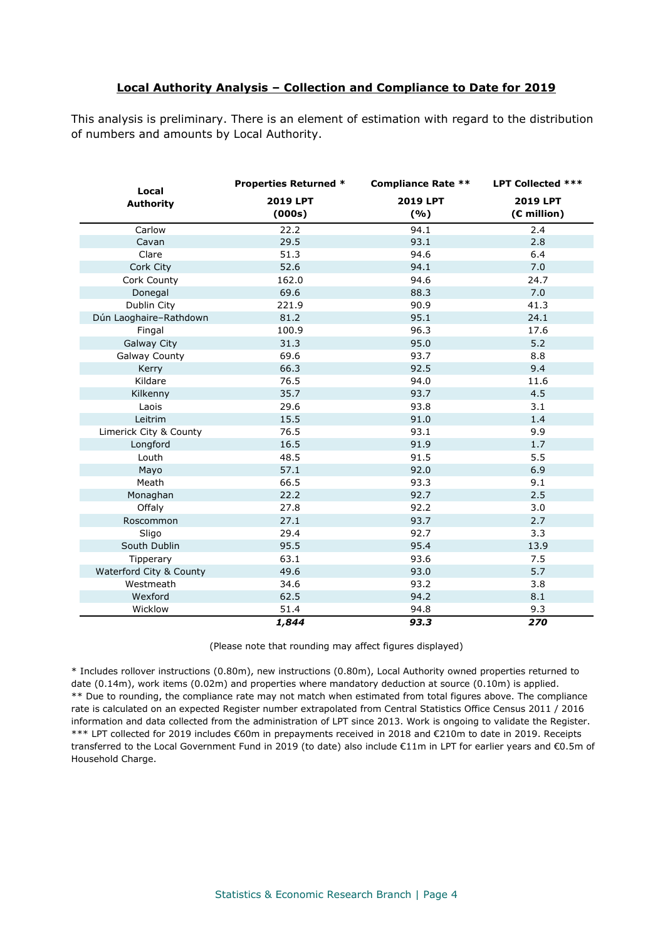## **Local Authority Analysis – Collection and Compliance to Date for 2019**

This analysis is preliminary. There is an element of estimation with regard to the distribution of numbers and amounts by Local Authority.

| Local                   | <b>Properties Returned *</b> | <b>Compliance Rate **</b> | <b>LPT Collected ***</b> |
|-------------------------|------------------------------|---------------------------|--------------------------|
| <b>Authority</b>        | 2019 LPT<br>(000s)           | 2019 LPT<br>(%)           | 2019 LPT<br>(€ million)  |
| Carlow                  | 22.2                         | 94.1                      | 2.4                      |
| Cavan                   | 29.5                         | 93.1                      | 2.8                      |
| Clare                   | 51.3                         | 94.6                      | 6.4                      |
| Cork City               | 52.6                         | 94.1                      | 7.0                      |
| Cork County             | 162.0                        | 94.6                      | 24.7                     |
| Donegal                 | 69.6                         | 88.3                      | 7.0                      |
| Dublin City             | 221.9                        | 90.9                      | 41.3                     |
| Dún Laoghaire-Rathdown  | 81.2                         | 95.1                      | 24.1                     |
| Fingal                  | 100.9                        | 96.3                      | 17.6                     |
| Galway City             | 31.3                         | 95.0                      | $5.2$                    |
| Galway County           | 69.6                         | 93.7                      | 8.8                      |
| Kerry                   | 66.3                         | 92.5                      | 9.4                      |
| Kildare                 | 76.5                         | 94.0                      | 11.6                     |
| Kilkenny                | 35.7                         | 93.7                      | 4.5                      |
| Laois                   | 29.6                         | 93.8                      | 3.1                      |
| Leitrim                 | 15.5                         | 91.0                      | 1.4                      |
| Limerick City & County  | 76.5                         | 93.1                      | 9.9                      |
| Longford                | 16.5                         | 91.9                      | 1.7                      |
| Louth                   | 48.5                         | 91.5                      | 5.5                      |
| Mayo                    | 57.1                         | 92.0                      | 6.9                      |
| Meath                   | 66.5                         | 93.3                      | 9.1                      |
| Monaghan                | 22.2                         | 92.7                      | 2.5                      |
| Offaly                  | 27.8                         | 92.2                      | 3.0                      |
| Roscommon               | 27.1                         | 93.7                      | 2.7                      |
| Sligo                   | 29.4                         | 92.7                      | 3.3                      |
| South Dublin            | 95.5                         | 95.4                      | 13.9                     |
| Tipperary               | 63.1                         | 93.6                      | 7.5                      |
| Waterford City & County | 49.6                         | 93.0                      | 5.7                      |
| Westmeath               | 34.6                         | 93.2                      | 3.8                      |
| Wexford                 | 62.5                         | 94.2                      | 8.1                      |
| Wicklow                 | 51.4                         | 94.8                      | 9.3                      |
|                         | 1,844                        | 93.3                      | 270                      |

(Please note that rounding may affect figures displayed)

\* Includes rollover instructions (0.80m), new instructions (0.80m), Local Authority owned properties returned to date (0.14m), work items (0.02m) and properties where mandatory deduction at source (0.10m) is applied. \*\* Due to rounding, the compliance rate may not match when estimated from total figures above. The compliance rate is calculated on an expected Register number extrapolated from Central Statistics Office Census 2011 / 2016 information and data collected from the administration of LPT since 2013. Work is ongoing to validate the Register. \*\*\* LPT collected for 2019 includes €60m in prepayments received in 2018 and €210m to date in 2019. Receipts transferred to the Local Government Fund in 2019 (to date) also include €11m in LPT for earlier years and €0.5m of Household Charge.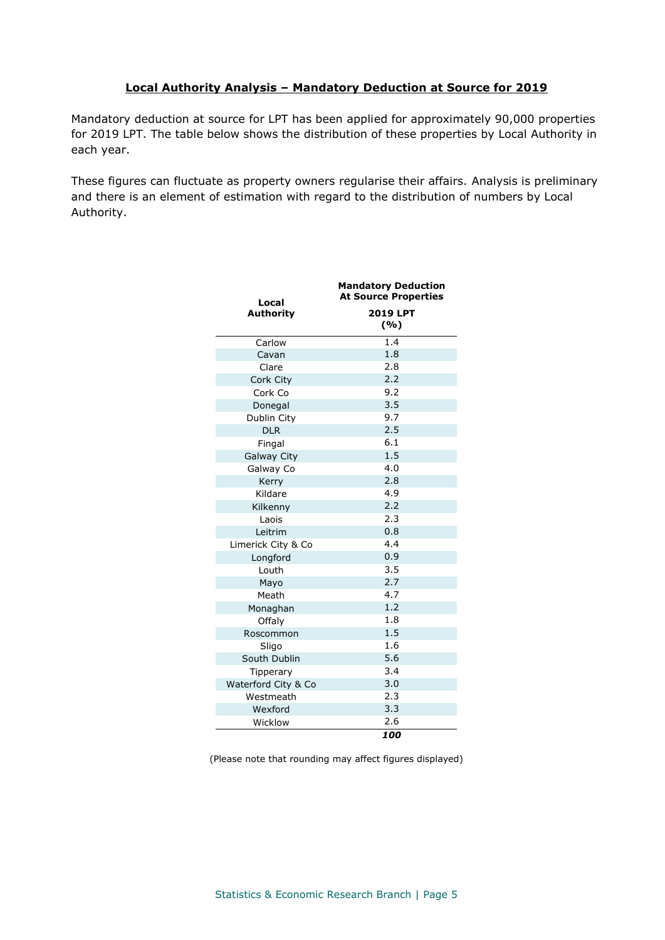# **Local Authority Analysis – Mandatory Deduction at Source for 2019**

Mandatory deduction at source for LPT has been applied for approximately 90,000 properties for 2019 LPT. The table below shows the distribution of these properties by Local Authority in each year.

These figures can fluctuate as property owners regularise their affairs. Analysis is preliminary and there is an element of estimation with regard to the distribution of numbers by Local Authority.

| Local               | <b>Mandatory Deduction</b><br><b>At Source Properties</b> |  |  |
|---------------------|-----------------------------------------------------------|--|--|
| <b>Authority</b>    | <b>2019 LPT</b><br>( %)                                   |  |  |
| Carlow              | $\overline{1.4}$                                          |  |  |
| Cavan               | 1.8                                                       |  |  |
| Clare               | 2.8                                                       |  |  |
| Cork City           | 2.2                                                       |  |  |
| Cork Co             | 9.2                                                       |  |  |
| Donegal             | 3.5                                                       |  |  |
| Dublin City         | 9.7                                                       |  |  |
| <b>DLR</b>          | 2.5                                                       |  |  |
| Fingal              | 6.1                                                       |  |  |
| <b>Galway City</b>  | 1.5                                                       |  |  |
| Galway Co           | 4.0                                                       |  |  |
| Kerry               | 2.8                                                       |  |  |
| Kildare             | 4.9                                                       |  |  |
| Kilkenny            | 2.2                                                       |  |  |
| Laois               | 2.3                                                       |  |  |
| Leitrim             | 0.8                                                       |  |  |
| Limerick City & Co  | 4.4                                                       |  |  |
| Longford            | 0.9                                                       |  |  |
| Louth               | 3.5                                                       |  |  |
| Mayo                | 2.7                                                       |  |  |
| Meath               | 4.7                                                       |  |  |
| Monaghan            | 1.2                                                       |  |  |
| Offaly              | 1.8                                                       |  |  |
| Roscommon           | 1.5                                                       |  |  |
| Sligo               | 1.6                                                       |  |  |
| South Dublin        | 5.6                                                       |  |  |
| Tipperary           | 3.4                                                       |  |  |
| Waterford City & Co | 3.0                                                       |  |  |
| Westmeath           | 2.3                                                       |  |  |
| Wexford             | 3.3                                                       |  |  |
| Wicklow             | 2.6                                                       |  |  |
|                     | 100                                                       |  |  |

(Please note that rounding may affect figures displayed)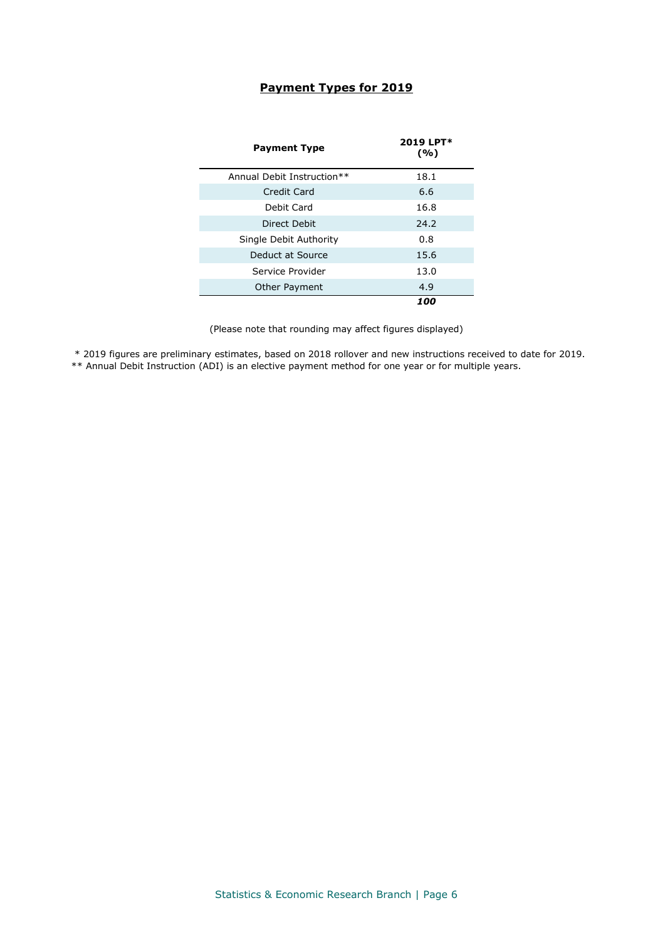## **Payment Types for 2019**

| <b>Payment Type</b>        | 2019 LPT*<br>(%) |
|----------------------------|------------------|
| Annual Debit Instruction** | 18.1             |
| Credit Card                | 6.6              |
| Debit Card                 | 16.8             |
| Direct Debit               | 24.2             |
| Single Debit Authority     | 0.8              |
| Deduct at Source           | 15.6             |
| Service Provider           | 13.0             |
| Other Payment              | 4.9              |
|                            | 100              |

(Please note that rounding may affect figures displayed)

\* 2019 figures are preliminary estimates, based on 2018 rollover and new instructions received to date for 2019.

\*\* Annual Debit Instruction (ADI) is an elective payment method for one year or for multiple years.